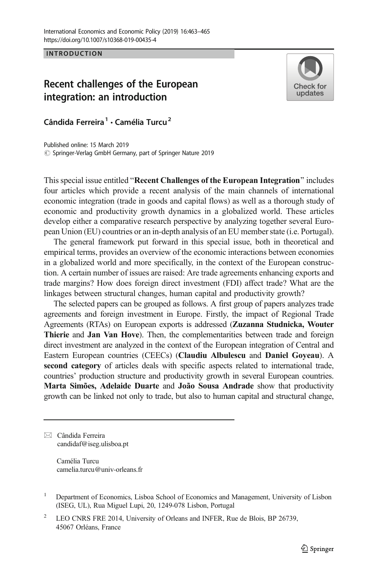**INTRODUCTION** 

## Recent challenges of the European integration: an introduction



Cândida Ferreira<sup>1</sup> • Camélia Turcu<sup>2</sup>

Published online: 15 March 2019  $\circled{c}$  Springer-Verlag GmbH Germany, part of Springer Nature 2019

This special issue entitled "Recent Challenges of the European Integration" includes four articles which provide a recent analysis of the main channels of international economic integration (trade in goods and capital flows) as well as a thorough study of economic and productivity growth dynamics in a globalized world. These articles develop either a comparative research perspective by analyzing together several European Union (EU) countries or an in-depth analysis of an EU member state (i.e. Portugal).

The general framework put forward in this special issue, both in theoretical and empirical terms, provides an overview of the economic interactions between economies in a globalized world and more specifically, in the context of the European construction. A certain number of issues are raised: Are trade agreements enhancing exports and trade margins? How does foreign direct investment (FDI) affect trade? What are the linkages between structural changes, human capital and productivity growth?

The selected papers can be grouped as follows. A first group of papers analyzes trade agreements and foreign investment in Europe. Firstly, the impact of Regional Trade Agreements (RTAs) on European exports is addressed (Zuzanna Studnicka, Wouter Thierie and Jan Van Hove). Then, the complementarities between trade and foreign direct investment are analyzed in the context of the European integration of Central and Eastern European countries (CEECs) (Claudiu Albulescu and Daniel Goyeau). A second category of articles deals with specific aspects related to international trade, countries' production structure and productivity growth in several European countries. Marta Simões, Adelaide Duarte and João Sousa Andrade show that productivity growth can be linked not only to trade, but also to human capital and structural change,

 $\boxtimes$  Cândida Ferreira [candidaf@iseg.ulisboa.pt](mailto:candidaf@iseg.ulisboa.pt)

> Camélia Turcu camelia.turcu@univ-orleans.fr

- <sup>1</sup> Department of Economics, Lisboa School of Economics and Management, University of Lisbon (ISEG, UL), Rua Miguel Lupi, 20, 1249-078 Lisbon, Portugal
- <sup>2</sup> LEO CNRS FRE 2014, University of Orleans and INFER, Rue de Blois, BP 26739, 45067 Orléans, France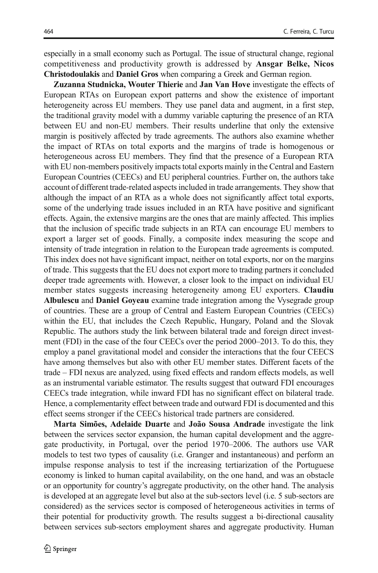especially in a small economy such as Portugal. The issue of structural change, regional competitiveness and productivity growth is addressed by Ansgar Belke, Nicos Christodoulakis and Daniel Gros when comparing a Greek and German region.

Zuzanna Studnicka, Wouter Thierie and Jan Van Hove investigate the effects of European RTAs on European export patterns and show the existence of important heterogeneity across EU members. They use panel data and augment, in a first step, the traditional gravity model with a dummy variable capturing the presence of an RTA between EU and non-EU members. Their results underline that only the extensive margin is positively affected by trade agreements. The authors also examine whether the impact of RTAs on total exports and the margins of trade is homogenous or heterogeneous across EU members. They find that the presence of a European RTA with EU non-members positively impacts total exports mainly in the Central and Eastern European Countries (CEECs) and EU peripheral countries. Further on, the authors take account of different trade-related aspects included in trade arrangements. They show that although the impact of an RTA as a whole does not significantly affect total exports, some of the underlying trade issues included in an RTA have positive and significant effects. Again, the extensive margins are the ones that are mainly affected. This implies that the inclusion of specific trade subjects in an RTA can encourage EU members to export a larger set of goods. Finally, a composite index measuring the scope and intensity of trade integration in relation to the European trade agreements is computed. This index does not have significant impact, neither on total exports, nor on the margins of trade. This suggests that the EU does not export more to trading partners it concluded deeper trade agreements with. However, a closer look to the impact on individual EU member states suggests increasing heterogeneity among EU exporters. Claudiu Albulescu and Daniel Goyeau examine trade integration among the Vysegrade group of countries. These are a group of Central and Eastern European Countries (CEECs) within the EU, that includes the Czech Republic, Hungary, Poland and the Slovak Republic. The authors study the link between bilateral trade and foreign direct investment (FDI) in the case of the four CEECs over the period 2000–2013. To do this, they employ a panel gravitational model and consider the interactions that the four CEECS have among themselves but also with other EU member states. Different facets of the trade – FDI nexus are analyzed, using fixed effects and random effects models, as well as an instrumental variable estimator. The results suggest that outward FDI encourages CEECs trade integration, while inward FDI has no significant effect on bilateral trade. Hence, a complementarity effect between trade and outward FDI is documented and this effect seems stronger if the CEECs historical trade partners are considered.

Marta Simões, Adelaide Duarte and João Sousa Andrade investigate the link between the services sector expansion, the human capital development and the aggregate productivity, in Portugal, over the period 1970–2006. The authors use VAR models to test two types of causality (i.e. Granger and instantaneous) and perform an impulse response analysis to test if the increasing tertiarization of the Portuguese economy is linked to human capital availability, on the one hand, and was an obstacle or an opportunity for country's aggregate productivity, on the other hand. The analysis is developed at an aggregate level but also at the sub-sectors level (i.e. 5 sub-sectors are considered) as the services sector is composed of heterogeneous activities in terms of their potential for productivity growth. The results suggest a bi-directional causality between services sub-sectors employment shares and aggregate productivity. Human